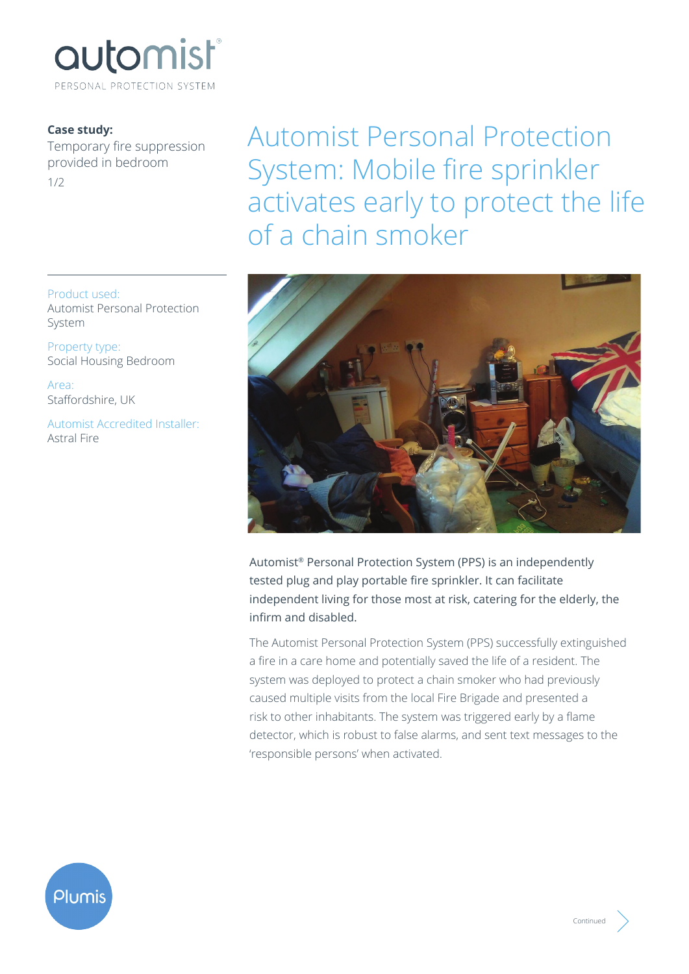

## **Case study:**

Temporary fire suppression provided in bedroom 1/2

Product used: Automist Personal Protection System

Property type: Social Housing Bedroom

Area: Staffordshire, UK

Automist Accredited Installer: Astral Fire

Automist Personal Protection System: Mobile fire sprinkler activates early to protect the life of a chain smoker



Automist® Personal Protection System (PPS) is an independently tested plug and play portable fire sprinkler. It can facilitate independent living for those most at risk, catering for the elderly, the infirm and disabled.

The Automist Personal Protection System (PPS) successfully extinguished a fire in a care home and potentially saved the life of a resident. The system was deployed to protect a chain smoker who had previously caused multiple visits from the local Fire Brigade and presented a risk to other inhabitants. The system was triggered early by a flame detector, which is robust to false alarms, and sent text messages to the 'responsible persons' when activated.